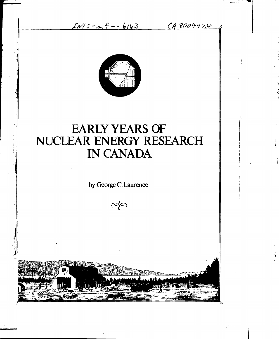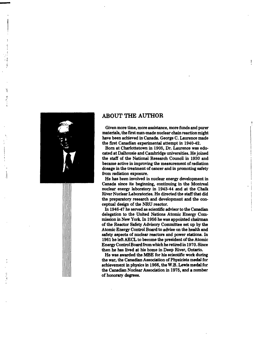



## **ABOUT THE AUTHOR**

**Given more time, more assistance, more funds and purer materials, the first man-made nuclear chain reaction might have been achieved in Canada. George C. Laurence made the first Canadian experimental attempt in 1940-42.**

**Born at Charlottetown in 1905, Dr. Laurence was educated at Dalhousie and Cambridge universities. He joined the staff of the National Research Council in 1930 and became active in improving the measurement of radiation dosage in the treatment of cancer and in promoting safety from radiation exposure.**

**He has been involved in nuclear energy development in Canada since its beginning, continuing in the Montreal nuclear energy laboratory in 1943-44 and at the Chalk River Nuclear Laboratories. He directed the staff that did the preparatory research and development and the conceptual design of the NRU reactor.**

**In 1946-47 he served as scientific advisor to the Canadian delegation to the United Nations Atomic Energy Commission in New York. In 1956 he was appointed chairman of the Reactor Safety Advisory Committee set up by the Atomic Energy Control Board to advise on the health and safety aspects of nuclear reactors and power stations. In 1961 he left AECL to become the president of the Atomic Energy Control Board from which he retired in 1970. Since then he has lived at his home in Deep River, Ontario.**

**He was awarded the MBE for his scientific work during the war, the Canadian Association of Physicists medal for achievement in physics in 1966, the W.B. Lewis medal for the Canadian Nuclear Association in 1975, and a number of honorary degrees.**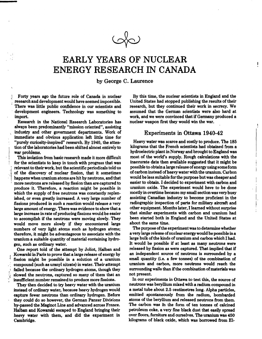

# EARLY YEARS OF NUCLEAR ENERGY RESEARCH IN CANADA

by George C. Laurence

*}* **Forty years ago the future role of Canada in nuclear ; research and development would have seemed impossible. There was little public confidence in our scientists and development engineers. Technology was something to import.**

**Research in the National Research Laboratories has always been predominantly "mission oriented", assisting industry and other government departments. Work of immediate and obvious application left little time for "purely curiosity-inspired" research. By 1940, the attention of the laboratories had been shifted almost entirely to war problems.**

**This isolation from basic research made it more difficult for the scientists to keep in touch with progress that was relevant to their work, but the scientific periodicals told us of the discovery of nuclear fission, that it sometimes happens when uranium atoms are hit by neutrons, and that more neutrons are released by fission than are captured to produce it. Therefore, a reaction might be possible in which the supply of free neutrons was constantly replenished, or even greatly increased. A very large number of fissions produced in such a reaction would release a very large amount of energy. There was evidence to show that a large increase in rate of producing fissions would be easier to accomplish if the neutrons were moving slowly. They would move more slowly if they encountered large numbers of very light atoms such as hydrogen atoms; therefore, it might be advantageous to associate with the uranium a suitable quantify of material containing hydrogen, such as ordinary water.**

**One report told of the attempt by Joliot, Halban and Kowarski in Paris to prove that a large release of energy by fission might be possible in a solution of a uranium compound (such as uranyl nitrate) in water. Their attempt failed because the ordinary hydrogen atoms, though they slowed the neutrons, captured so many of them that an insufficient number remained to produce more fissions.**

**They then decided to try heavy water with the uranium instead of ordinary water, because heavy hydrogen would capture fewer neutrons than ordinary hydrogen. Before they could do so however, the German Panzer Divisions by-passed the Maginot Line and advanced across France. Halban and Kowarski escaped to England bringing their heavy water with them, and did the experiment in Cambridge.**

**By this time, the nuclear scientists in England and the United States had stopped publishing the results of their research, but they continued their work in secrecy. We assumed that the German scientists were also hard at work, and we were convinced that if Germany produced a nuclear weapon first they would win the war.**

 $\pmb{\mathsf{I}}$ 

### Experiments in Ottawa 1940-42

**Heavy water was scarce and costly to produce. The 185 kilograms that the French scientists had obtained from a hydroelectric plant in Norway and brought to England was most of the world's supply. Rough calculations with the inaccurate data then available suggested that it might be possible to obtain a large release of energy using some form of carbon instead of heavy water with the uranium. Carbon would be less suitable for the purpose but was cheaper and easier to obtain. I decided to experiment with carbon and uranium oxide. The experiment would have to be done mostly in overtime because my small section was very busy assisting Canadian industry to become proficient in the radiographic inspection of parts for military aircraft and other equipment. Months later, I learned without surprise that similar experiments with carbon and uranium had been started both in England and the United States at about the same time.**

**The purpose of the experiment was to determine whether a very large release of nuclear energy would be possible in a large bulk of the kinds of uranium and carbon which I had. It would be possible if at least as many neutrons were released by fission as were captured. That implied that if an independent source of neutrons is surrounded by a small quantity (i.e. a few tonnes) of the combination of uranium and carbon, more neutrons would reach the surrounding walls than if the combination of materials was not present.**

**In our experiments in Ottawa to test this, the source of neutrons was beryllium mixed with a radium compound in a metal tube about 2.5 centimetres long. Alpha particles, emitted spontaneously from the radium, bombarded atoms of the beryllium and released neutrons from them. The carbon was in the form of ten tonnes of calcined petroleum coke, a very fine black dust that easily spread over floors, furniture and ourselves. The uranium was 450 kilograms of black oxide, which was borrowed from El-**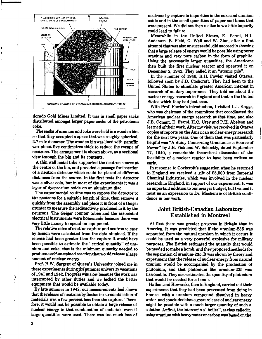

**dorado Gold Mines Limited. It was in small paper sacks distributed amongst larger paper sacks of the petroleum coke.**

**The sacks of uranium and coke were held in a wooden bin, so that they occupied a space that was roughly spherical, 2.7 m in diameter. The wooden bin was lined with paraffin wax about five centimetres thick to reduce the escape of neutrons. The arrangement is shown above, as a sectional view through the bin and its contents.**

**A thin wall metal tube supported the neutron source at the centre of the bin, and provided a passage for insertion of a neutron detector which could be placed at different distances from the source. In the first tests the detector was a silver coin, but in most of the experiments it was a layer of dysprosium oxide on an aluminum disc.**

**The experimental routine was to expose the detector to the neutrons for a suitable length of time, then remove it quickly from the assembly and place it in front of a Geiger counter to measure the radioactivity produced in it by the neutrons. The Geiger counter tubes and the associated electrical instruments were homemade because there was very little money to spend on equipment.**

**The relative rates of neutron capture and neutron release by fission were calculated from the data obtained. If the release had been greater than the capture it would have been possible to estimate the "critical quantity" of uranium and coke, that is the minimum quantity needed to produce a self-sustained reaction that would release a large amount of nuclear energy.**

**Prof. B.W. Sargent of Queen's University joined me in these experiments during jhFjsummer university vacations of 1941 and 1942. Progress was slow because the work was interrupted by other duties and we lacked the better equipment that would be available today.**

**By late summer in 1942, our measurements had shown that the release of neutrons by fission in our combination of materials was a few percent less than the capture. Therefore, it would not be possible to obtain a large release of nuclear energy in that combination of materials even if large quantities were used. There was too much loss of** **neutrons by capture in impurities in the coke and uranium oxide and in the small quantities of paper and brass that were present. We did not then realize how a little impurity could lead to failure.**

**Meanwhile in the United States, E. Fermi, H.L. Anderson. B. Field, G. Weil and W. Zinn, after a first attempt that was also unsuccessful, did succeed in showing that a large release of energy would be possible using purer uranium and very pure carbon in the form of graphite. Using the necessarily larger quantities, the Americans then built the first nuclear reactor and operated it on December 2, 1942. They called it an "atomic pile".**

**In the summer of 1940, R.H. Fowler visited Ottawa, followed soon by J.D. Cockcroft. They had been to the United States to stimulate greater American interest in research of military importance. They told me about the nuclear energy research in England and that in the United States which they had just seen.**

**With Prof. Fowler's introduction, I visited L.J. Bnggs, who was chairman of the committee that coordinated the American nuclear energy research at that time, and also J.B. Conant, E. Fermi, H.C. Urey and P.H. Abelson and learned of their work. After my visit, we received in Ottawa copies of reports on the American nuclear energy research for the next two years. One of them that was particularly helpful was "A Study Concerning Uranium as a Source of Power" by J.B. Fisk and W. Schockly, dated September 17, 1940, a remarkable theoretical discussion of the feasibility of a nuclear reactor to have been written so early.**

**In response to Cockcroft's suggestion when he returned to England we received a gift of \$5,000 from Imperial Chemical Industries, which was involved in the nuclear research in England, in support of our experiment. It was an important addition to our meager budget, but I valued it most as an expression to Dr. Mackenzie of British confidence in our work.**

## Joint British-Canadian Laboratory Established in Montreal

**At first there was greater progress in Britain than in America. It was predicted that if the uranium-235 was separated from the natural uranium in which it occurs it could be used as a very powerful explosive for military purposes. The British estimated the quantity that would be needed to make a bomb, and they proposed methods for the separation of uranium-235. It was shown by theory and experiment that the release of nuclear energy from natural uranium would be accompanied by the production of plutonium, and that plutonium like uranium-235 was fissionable. They also estimated the quantity of plutonium that would be needed for a bomb.**

**Halban and Kowarski, then in England, carried out their experiments that they had been prevented from doing in France with a uranium compound dissolved in heavy water and concluded that a great release of nuclear energy might be possible with a much larger quantity of such a solution. At first, the interest in a "boiler", as they called it, using uranium with heavy water or carbon was based on the**

2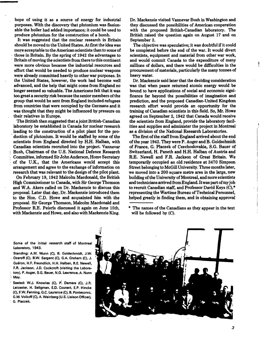**hope of using it as a source of energy for industrial purposes. With the discovery that plutonium was fissionable the boiler had added importance; it could be used to produce plutonium for the construction of a bomb.**

**It was suggested that the nuclear research in Britain should be moved to the United States. At first the idea was more acceptable to the American scientists than to some of those in Britain. By the spring of 1942 the advantages to Britain of moving the scientists from there to this continent were more obvious because the industrial resources and effort that would be needed to produce nuclear weapons were already committed heavily to other war purposes. In the United States, however, the work had become well advanced, and the help that might come from England no longer seemed so valuable. The Americans felt that it was too great a security risk because the senior members of the group that would be sent from England included refugees from countries that were occupied by the Germans and it was thought that they might be influenced by pressure on their relatives in Europe.**

**The British then suggested that a joint British-Canadian laboratory be established in Canada for nuclear research leading to the construction of a pilot plant for the production of plutonium. It would be staffed by some of the scientists from England directed by H.H. Halban, with Canadian scientists recruited into the project. Vannevar Bush, Chairman of the U.S. National Defence Research Committee, informed Sir John Anderson, Home Secretary of the U.K., that the Americans would accept this arrangement and agree to the exchange of information on research that was relevant to the design of the pilot plant.**

**On February 19,1942 Malcolm Macdonald, the British High Commissioner to Canada, with Sir George Thomson and W.A. Akers called on Dr. Mackenzie to discuss this proposal. Later that day, Dr. Mackenzie introduced them to the Hon. CD. Howe and acquainted him with the proposal. Sir George Thomson, Malcolm Macdonald and Professor R.E. Peierls discussed it again on June 15th, with Mackenzie and Howe, and also with Mackenzie King.**

**Dr. Mackenzie visited Vannevar Bush in Washington and they discussed the possibilities of American cooperation with the proposed British-Canadian laboratory. The British raised the question again on August 17 and on September 2.**

**The objective was speculative; it was doubtful if it could be completed before the end of the war. It would divert scientists, equipment and material from other war work, and would commit Canada to the expenditure of many millions of dollars, and there would be difficulties in the procurement of materials, particularly the many tonnes of heavy water.**

**Dr. Mackenzie said later that the deciding consideration was that when peace returned atomic energy would be bound to have applications of social and economic significance far beyond the possibilities of imagination and prediction, and the proposed Canadian-United Kingdom research effort would provide an opportunity for the training of Canadian scientists in this field. So, Mr. Howe agreed on September 2,1942 that Canada would receive the scientists from England, provide the laboratory facilities and supplies and administer the project in Montreal as a division of the National Research Laboratories.**

**The first of the staff from England arrived about the end of the year 1942. They were P. Auger and B. Goldschmidt of France, G. Placzek of Czechoslovakia, S.G. Bauer of Switzerland, H. Paneth and H.H. Halban of Austria and R.E. Newell and F.R. Jackson of Great Britain. We temporarily occupied an old residence at 3470 Simpson Street belonging to McGill University. Three months later, we moved into a 200 square metre area in the large, new building of the University of Montreal, and more scientists and technicians arrived from England. It was part of my job to recruit Canadian staff, and Professor David Keys (C),\* representing the Wartime Bureau of Technical Personnel, helped greatly in finding them, and in obtaining approval**

**Some of the initial research staff of Montreal Laboratory, 1943.**

**Standing: A.M. Munn (C), B. Goldschmidt, J.W. . Ozeroff (C), B.W. Sargent (C). G.A. Graham (C), J. Gudron, H.F. Freundlich, H.H. Halban, R.E. Newell, F.R. Jackson, J.D. Cockcroft (visiting the Laboratory), P. Auger, S.G. Bauer, N.Q. Lawrence, A. Nunn < May.**

 **Seated: W.J. Knowles (C), P. Demers (C), J.R. Leicester, H. Seligman, E.D. Courant, E.P. Hincks (C), F.W. Fanning, G.C. Laurence (C), B. Pontecorvo, G.M. Volkoff (C), A. Weinberg (U.S. Liaison Officer), G. Placzek.**

**1**



**<sup>\*</sup> The names of the Canadians as they appear in the text will be followed by (C).**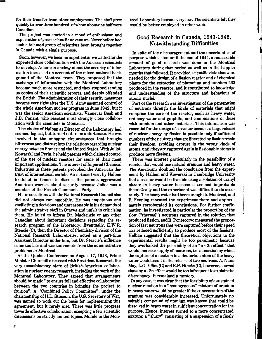**for their transfer from other employment. The staff grew quickly to over three hundred, of whom about one half were Canadian.**

**The project was started in a mood of enthusiasm and expectation of great scientific adventure. Never before had such a talented group of scientists been brought together in Canada with a single purpose.**

**Soon, however, we became impatient as we waited for the expected close collaboration with the American scientists to develop. American anxiety about the security of information increased on account of the mixed national background of the Montreal team. They proposed that the exchange of information with the Montreal Laboratory become much more restricted, and they stopped sending us copies of their scientific reports, and deeply offended the British. The administration of their security measures became very tight after the U.S. Army assumed control of the whole American nuclear program in June 1942, but it was the senior American scientists, Vannevar Bush and J.B. Conant, who resisted most strongly close collaboration with the scientists in Montreal.**

**The choice of Halban as Director of the Laboratory had seemed logical, but turned out to be unfortunate. He was involved in the unhappy circumstances that brought bitterness and distrust into the relations regarding nuclear energy between France and the United States. With Joliot, Kowarski and Perin, he held patents which claimed control of the use of nuclear reactors for some of their most important applications. The interest of Imperial Chemical Industries in these patents provoked the American distrust of international cartels. An ill-timed visit by Halban to Joliot in France to discuss the patents aggravated American worries about security because Joliot was a member of the French Communist Party.**

**His associations with the National Research Council also did not always run smoothly. He was impetuous and vacillating in decisions and unreasonable in his demands of the administrative staff in Ottawa and unfair in criticising them. He failed to inform Dr. Mackenzie or any other Canadian about important decisions regarding the research program of the laboratory. Eventually, E.W.R. Steacie (C), then the Director of Chemistry division of the National Research Laboratories, acted as a part-time Assistant Director under him, but Dr. Steacie's influence came too late and was too remote from the administrative problems in Montreal.**

**At the Quebec Conference on August 17, 1943, Prime Minister Churchill discussed with President Roosevelt the very unsatisfactory state of British-American collaboration in nuclear energy research, including the work of the Montreal Laboratory. They agreed that arrangements should be made "to ensure full and effective collaboration between the two countries in bringing the project to fruition". A "Combined Policy Committee", under the chairmanship of H.L. Stimson, the U.S. Secretary of War, was named to work out the basis for implementing this agreement, but it rarely met. There was little progress towards effective collaboration, excepting a few scientific discussions on strictly limited topics. Morale in the Mon-** **treal Laboratory became very low. The scientists felt they would be better employed in other work.**

## Good Research in Canada, 1943-1946, Notwithstanding Difficulties

**In spite of the discouragement and the uncertainties of purpose which lasted until the end of 1944, a remarkable amount of good research was done in the Montreal Laboratory during that period as well as in the happier months that followed. It provided scientific data that were needed for the design of a fission reactor and of chemical plants for the extraction of plutonium and uranium-233 produced in the reactor, and it contributed to knowledge and understanding of the structure and behaviour of atomic nuclei.**

**Part of the research was investigation of the penetration of neutrons through the kinds of materials that might comprise the core of the reactor, such as heavy water, ordinary water and graphite, and combinations of these with uranium and other materials. This information was essential for the design of a reactor because a large release of nuclear energy by fission is possible only if sufficient numbers of the neutrons that are liberated by fission retain their freedom, avoiding capture in the wrong kinds of atoms, until they are captured again in fissionable atoms to produce more fissions.**

**There was interest particularly in the possibility of a reactor that would use natural uranium and heavy water. The Americans doubted the conclusion from the experiment by Halban and Kowarski in Cambridge University that a reactor would be feasible using a solution of uranyl nitrate in heavy water because it seemed improbable theoretically and the experiment was difficult to do accurately. The heavy water had been brought to Montreal, and F. Fenning repeated the experiment there and approximately corroborated its conclusions. For further confirmation, he investigated in particular the proportion of the slow ("thermal") neutrons captured in the solution that produced fission, and B. Pontecorvo measured the proportion of fast neutrons that were captured before their speed was reduced sufficiently to produce most of the fissions. Halban suggested that the theoretical objections to the experimental results might be too pessimistic because they overlooked the possibility of an "n - 2n effect" that would increase supply of neutrons, i.e. a reaction by which the capture of a neutron in a deuterium atom of the heavy water would result in the release of two neutrons. A. Nunn May, L.G. Elliot (C) and E.P. Hincks (C), however, showed that any n - 2n effect would be too infrequent to explain the discrepancy. It remained a mystery.**

**In any case, it was clear that the feasibility of a sustained nuclear reaction in a "homogeneous" mixture of uranium in heavy water would be greater if the concentration of the uranium was considerably increased. Unfortunately no suitable compound of uranium was known that could be dissolved in heavy water in sufficient concentration for the purpose. Hence, interest turned to a more concentrated mixture: a "slurry" consisting of a suspension of a finely**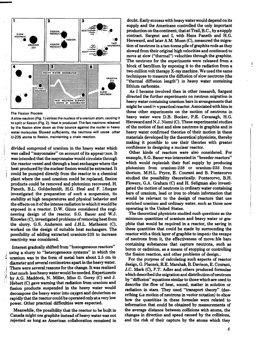

#### **The Fission Process**

**Jl**

**A slow neutron (Fig. 1) strikes the nucleus of a uranium atom, causing it to split or fission (Fig. 2). Heat is produced. The fast neutrons released by the fission slow down as they bounce against the nuclei in heavy** water molecules. Slowed sufficiently, the neutrons will cause other **U-235 atoms to fission, maintaining a chain reaction.**

**divided compound of uranium in the heavy water which was called "mayonnaise" on account of its appearance. It was intended that the mayonnaise would circulate through the reactor vessel and through a heat exchanger where the heat produced by the nuclear fission would be extracted. It could be pumped directly from the reactor to a chemical plant where the used uranium could be replaced, fission products could be removed and plutonium recovered. H. Paneth, B.L. Goldschmidt, H.G. Heal and F. Morgan investigated the preparation of such a suspension, its stability at high temperatures and physical behavior and the effects on it of the intense radiation to which it would be exposed in a reactor. D.W. Ginns considered the engineering design of the reactor. S.G. Bauer and W.J. Knowles(C), investigated problems of removing heat from the slurry. G.S. Anderson and J.H.L. Matheson (C), worked on the design of suitable heat exchangers. The possibility of adding extracted uranium-235 to increase reactivity was considered.**

**Interest gradually shifted from "homogeneous reactors" using a slurry to "heterogeneous systems" in which the uranium was in the form of metal bars about 2.5 cm in diameter and several centimetres apart in the heavy water. There were several reasons for the change. It was realized that much less heavy water would be needed. Experiments by A.G. Maddock, N. Miller, Miss G. Gorey (C) and J. Hebert (C) gave warning that radiation from uranium and fission products suspended in the heavy water would decompose the heavy water into oxygen and deuterium so rapidly that the reactor could be operated only at a very low power. Other practical difficulties were expected.**

**Meanwhile, the possibility that the reactor to be built in Canada might use graphite instead of heavy water was not rejected as long as American collaboration remained in**

**doubt. Early success with heavy water would depend on its supply and the Americans controlled the only important production on the continent, that at Trail, B.C., by a supply contract. Sargent and I, with Hans Paneth and H.G. Hereward, and later A.M. Munn (C), measured the migration of neutrons in a ten-tonne pile of graphite rods as they slowed from their original high velocities and continued to move at slow ("thermal") velocities through the graphite. The neutrons for the experiments were released from a block of beryllium by exposing it to the radiation from a two-million volt therapy X-ray machine. We used the same techniques to measure the diffusion of slow neutrons (the "thermal diffusion length") in heavy water containing lithium carbonate.**

**As I became involved then in other research, Sargent directed the further experiments on neutron migration in heavy water containing uranium bars in arrangements that might be used in a practical reactor. Associated with him in these other experiments on the motion of neutrons in heavy water were D.B. Booker, P.E. Cavanagh, H.G. Hereward and N. J. Niemi (C). These experimental studies of the motion of fast and slow neutrons in graphite and in heavy water confirmed theories of their motion in these materials developed by the theoretical physicists, thereby making it possible to use their theories with greater confidence in designing a nuclear reactor.**

**Other kinds of reactors were also considered. For example, S.G. Bauer was interested in "breeder reactors" which would replenish their fuel supply by producing plutonium from uranium-238 or uranium-233 from thorium. M.H.L. Pryce, E. Courant and B. Pontecorvo studied the possibility theoretically. Pontecorvo, B.H. Flowers, G.A. Graham (C) and H. Seligman also investigated the motion of neutrons in ordinary water containing bars of uranium, lead or iron to obtain information that would be relevant to the design of reactors that use enriched uranium and ordinary water, such as those now operating in the United States.**

**The theoretical physicists studied such questions as the minimum quantities of uranium and heavy water or graphite that would be required in a reactor, the saving in these quantities that could be made by surrounding the reactor with a thick layer of graphite to impede the escape of neutrons from it, the effectiveness of move.ble bars containing substances that capture neutrons, such as boron or cadmium, as a means of stopping or controlling the fission reaction, and other problems of design..**

**For the purpose of calculating such aspects of reactor design, G. Placzek, R.E. Marshak, B. Davison, E. Courant, J.C. Mark (C), F.T. Adler and others produced formulae which described the migration and distribution of neutrons by "diffusion" equations similar to those which are used to describe the flow of heat, sound, matter in solution or radiation in stars. They used "transport theory" (des**cribing the motion of neutrons in vector notation) to show **how the quantities in these formulae were related to information that could be obtained by measurements of the average distance between collisions with atoms, the changes in direction and speed caused by the collisions, and the risk of their capture by the atoms which they**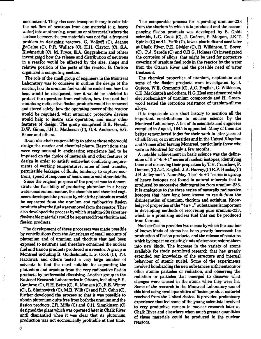**encountered. They clso used transport theory to calculate the net flow of neutrons from one material (e.g. heavy water) into another (e.g. uranium or other metal) where the surface between the two materials was not flat, a frequent problem in designing reactors. G. Volkoff (C), Jeanne £eCaine (C), P.R. Wallace (C), H.H. Clayton (C), S.A. Kushneriuk (C), M. Pryce, E.A. Guggenheim and others investigated how the release and distribution of neutrons in a reactor would be affected by the size, shape and relative position of the parts of the reactor. B. Carlson organized a computing section.**

**The role of the small group of engineers in the Montreal Laboratory was to conceive in outline the design of the reactor, how its uranium fuel would be cooled and how the heat would be dissipated, how it would be shielded to protect the operators from radiation, how the used fuel containing radioactive fission products would be removed and stored safely, how the operating power of the reactor would be regulated, what automatic protective devices would help to insure safe operation, and many other features of design. The group comprised R.E. Newell, D.W. Ginns, J.H.L. Matheson (C), G.S. Anderson, S.G. Bauer and others.**

**It was also their responsibility to advise those who would design the reactor and chemical plants. Restrictions that were very unusual in engineering experience had to be imposed on the choice of materials and other features of design in order to satisfy somewhat conflicting requirements of working temperatures, rates of heat transfer, permissible leakages of fluids, tendency to capture neutrons, speed of response of instruments and other details.**

**Since the original purpose of the project was to demonstrate the feasibility of producing plutonium in a heavy water-moderated reactor, the chemists and chemical engineers developed the process by which the plutonium would be separated from the uranium and radioactive fission products after the fuel was removed from the reactor. They also developed the process by which uranium-233 (another fissionable material) could be separated from thorium and fission products.**

**The development of these processes was made possible by contributions from the Americans of small amounts of plutonium and of uranium and thorium that had been exposed to neutrons and therefore contained the nuclear fuel and fission products produced in a reactor. A group in Montreal including B. Goldschmidt, L.G. Cook (C), T.J. Hardwick and others tested a very large number of solvents to find the most suitable for separating the plutonium and uranium from the very radioactive fission products by preferential dissolving. Another group in the National Research Laboratories in Ottawa, including S.E. Cambron (C), R.H. Betts (C), R. Mungen (C), E.E. Winter (C), L. Siminovitch (C), M.B. Wilk (C) and R.P. Cahn (C), further developed the process so that it was possible to obtain plutonium quite free from both the uranium and the fission products. I.R. Mills (C) and C.H. Simpkinson (C) designed the plant which was operated later in Chalk River until dismantled when it was clear that its plutonium production was not economically profitable at that time.**

**The comparable process for separating uranium-233 from the thorium in which it is produced and the accompanying fission products was developed by B. Goldschmidt, L.G. Cook (C), J. Gueron, F. Morgan, J.K.T. Spinks (C) and L. Yaffe (C). It was also built and used later at Chalk River. P.E. Gishler (C), R. Wilkinson, T. Boyer (C), P.J. Sereda (C) and C.R.G. Holmes (C) investigated the corrosion of alloys that might be used for protective covering of uranium fuel rods in the reactor by the water from the Ottawa River and the possible need of water treatment.**

f

**The chemical properties of uranium, neptunium and some of the fission products were investigated by J. Gueron, W.E. Grummitt (C), A.C. English, G. Wilkinson, C.E. Mackintosh and others. H.G. Heal experimented with electrochemistry of uranium compounds and H. Greenwood tested the corrosion resistance of uranium-silicon alloys.**

**It is impossible in a short history to mention all the important contributions to nuclear science by the Montreal Laboratory. A list of its scientists and engineers compiled in August, 1945 is appended. Many of them are better remembered today for their work in later years at Chalk River, or in universities and in the United Kingdom and France after leaving Montreal, particularly those who were in Montreal for only a few months.**

**A notable achievement in basic science was the delineation of the "4n +1" series of nuclear isotopes, identifying them and observing their properties by T.E. Cranshaw, P. Demers,(C) A.C. English, J.A. Harvey.(C) E.P. Hincks,(C) J.B. Jelley and A. Nunn May. The "4n+1" series is a group of heavy isotopes not found in natural minerals that is produced by successive disintegration from uranium-233. It is analogous to the three series of naturally radioactive isotopes that have long been known to result from the disintegration of uranium, thorium and actinium. Knowledge of properties of the "4n+1" substances is important in developing methods of recovering pure uranium-233, which is a promising nuclear fuel that can be produced from thorium.**

**Nuclear fission provides two means by which the number of known kinds of atoms has been greatly increased: the production of fission products, and the release of neutrons which by impact on existing kinds of atoms transform them into new kinds. The increase in the variety of atoms available for study permitted research that has greatly extended our knowledge of the structure and internal behaviour of atomic nuclei. Some of the experiments involved bombarding the new substances with neutrons or other atomic particles or radiation, and observing the radiation or particles that emerged to discover what changes were caused in the atoms when they were hit. Some of the research in the Montreal Laboratory was of this kind using small quantities of fission product material received from the United States. It provided preliminary experience that led some of the young scientists involved to very productive careers in nuclear research later at Chalk River and elsewhere when much greater quantities of these materials could be produced in the nuclear reactors.**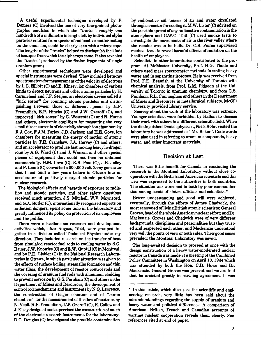**A useful experimental technique developed by P. Demers (C) involved the use of very fine-grained photographic emulsion in which the "tracks", roughly one hundredth of a millimetre in length left by individual alpha particles emitted from specks of radioactive matter resting on the emulsion, could be clearly seen with a microscope. The lengths of the "tracks" helped to distinguish the kinds of isotopes from which the alpha rays came. It also revealed the "tracks" produced by the fission fragments of single uranium atoms.**

**Other experimental techniques were developed and special instruments were devised. They included beta-ray spectrometers for measurement of the velocity of electrons by L.G. Elliott (C) and B. Kinsey, ion chambers of various kinds to detect neutrons and other atomic particles by H. Carmichael and J.F. Steljes, an electronic device called a "kick sorter" for counting atomic particles and distinguishing between those of different speeds by H.F. Freundlich, E.P. Hincks (C) and J.W. Ozeroff (C), and improved "kick sorter" by C. Westcott (C) and R. Hanna and others, electronic amplifiers for measuring the very small direct currents of electricity through ion chambers by R.J. Cox, F.J.M. Farley, J.D. Jackson and H.E. Gove, ion chambers for measuring the energy of motion of atomic particles by T.E. Cranshaw, J.A. Harvey (C) and others, and an accelerator to produce fast moving heavy hydrogen ions by A.G. Ward (C) and J. Warren, and other special pieces of equipment that could not then be obtained commercially. H.M. Cave (C), E.B. Paul (C), J.B. Jelley and P. Lamb (C) converted a 600,000 volt X-ray generator that I had built a few years before in Ottawa into an accelerator of positively charged atomic particles for nuclear research.**

**The biological effects and hazards of exposure to radiation and atomic particles, and other safety questions received much attention. J.S. Mitchell, W.V. Mayneord, and G.A. Butler (C), internationally recognized experts on radiation dangers, spent some time in the laboratory and greatly influenced its policy on protection of its employees and the public.**

**There were miscellaneous research and development activities which, after August, 1944, were grouped together in a division called Technical Physics under my direction. They included research on the transfer of heat from simulated reactor fuel rods to cooling water by S.G. Bauer, J.W. Knowles (C) andE.W. Guptill (C) in Montreal, and by P.E. Gishler (C) in the National Research Laboratories in Ottawa, in which particular attention was given to the effects of surface boiling, steam film formation and thin water films, the development of reactor control rods and the covering of uranium fuel rods with aluminum cladding to prevent corrosion by G.S. Farnham (C) and others in the Department of Mines and Resources, the development of control rod mechanisms and instruments by N.Q. Lawrence, the construction of Geiger counters and of "boron chambers" for the measurement of the flow of neutrons by N. Veall. H.F. Freundlich, J.W. Ozeroff (C), R. Callow and J. Elsey designed and supervised the construction of much of the electronic research instruments for the laboratory. D.C. Douglas (C) investigated the possible contamination**

**by radioactive substances of air and water circulated through a reactor for cooling it. M. W. Lister (C) advised on the possible spread of any radioactive contamination in the atmosphere and G.W.C. Tait (C) used smoke tests to investigate the movements of air in the river valley where the reactor was to be built. Dr. C.B. Peirce supervised medical tests to reveal harmful effects of radiation on the health of employees.**

**Scientists in other laboratories contributed to the program. At McMaster University, Prof. H.G. Thode and others used mass spectrometer methods in testing heavy water and in separating isotopes. Help was received from Prof. F.E. Beamish at the University of Toronto with chemical analysis, from Prof. L.M. Pidgeon at the University of Toronto in uranium chemistry, and from G.S. Famham, R.L. Cunningham and others in the Department of Mines and Resources in metallurgical subjects. McGill University provided library service.**

**Secrecy about the work of the laboratory was extreme. Younger scientists were forbidden by Halban to discuss their work with others in a different scientific field. When the distinguished Danish physicist, Niels Bohr, visited the laboratory he was addressed as "Mr. Baker". Code words were also used in referring to uranium compounds, heavy water, and other important materials.**

#### Decision at Last

**There was little benefit for Canada in continuing the research in the Montreal Laboratory without close cooperation with the British and American scientists and this view was expressed to the authorities in both countries. The situation was worsened in both by poor communication among heads of states, officials and scientists.\***

**Better understanding and good will were achieved, eventually, through the efforts of James Chadwick, the most renowned of living British atomic scientists; General Groves, head of the whole American nuclear effort; and Dr. Mackenzie. Groves and Chadwick were of very different backgrounds, disciplines and personalities but they trusted and respected each other, and Mackenzie understood very well the points of view of both sides. Their good sense prevailed; the Montreal Laboratory was saved.**

**The long-awaited decision to proceed at once with the design construction of a heavy water-moderated nuclear reactor in Canada was made at a meeting of the Combined Policy Committee in Washington on April 13,1944 which** was attended by both the Hon. C.D. Howe and Dr. **Mackenzie. General Groves was present and we are told that he assisted greatly in reaching agreement. It was**

ŧ

**<sup>\*</sup> In this article, which discusses the scientific and engineering research, very little has been said about the misunderstandings regarding the supply of uranium and heavy water and political differences. A comparison of American, British, French and Canadian accounts of wartime nuclear cooperation reveals them clearly. See references cited at end of paper.**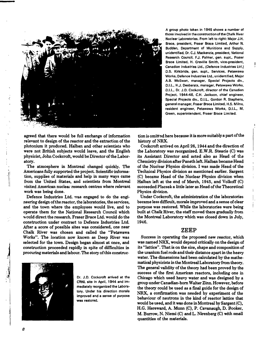

**A group photo taken in 1945 shows a number of those involved in the construction of the Chalk River Nuclear Laboratories. From left to right: Major J.H. Brace, president, Fraser Brace Limited, Arthur N. Budden, Department of Munitions and Supply, unidentified, Dr. C.J. Mackenzie, president. National Research Council, F.J. Palmer, gen. supt., Fraser Brace Limited, H. Greville Smith, vice-president, Canadian Industries Ltd., (Defence Industries Ltd.) D.S. Kirkbride, gen. supt.. Services, Petawawa Works, Defence Industries Ltd., unidentified, Major A.B. McEwan, manager, Special Projects div., D.I.L., H.J. Desbarats, manager, Petawawa Works, D.I.L., Dr. J.D. Cockcroft, director of the Canadian Project, 1944-46, C.H. Jackson, chief engineer, Special Projects div., D.I.L., Gordon R. Stephens, general manager, Fraser Brace Limited, H.S. Milne, resident engineer, Petawawa Works, D.I.L., M. Green, superintendent, Fraser Brace Limited.**

**agreed that there would be full exchange of information relevant to design of the reactor and the extraction of the plutonium it produced. Halban and other scientists who were not British subjects would leave, and the English physicist, John Cockcroft, would be Director of the Laboratory.**

**The atmosphere in Montreal changed quickly. The Americans fully supported the project. Scientific information, supplies of materials and help in many ways came from the United States, and scientists from Montreal visited American nuclear research centres where relevant work was being done.**

**Defence Industries Ltd. was engaged to do the engineering design of the reactor, the laboratories, the services, and the town where the employees would live, and to operate them for the National Research Council which would direct the research. Fraser Brace Ltd. would do the construction under contract to Defence Industries Ltd. After a score of possible sites was considered, one near Chalk River was chosen and called the "Petawawa Works". The location now known as Deep River was selected for the town. Design began almost at once, and construction proceeded rapidly in spite of difficulties in procuring materials and labour. The story of this construc-**



**Dr. J.D. Cockcroft arrived at the CRNL site in April, 1944 and immediately reorganized the Laboratory. Under his direction morale improved and a sense of purpose was restored.**

**tion is omitted here because it is more suitably a part of the history of NRX.**

**Cockcroft arrived on April 26,1944 and the direction of the Laboratory was reorganized. E.W.R. Steacie (C) was its Assistant Director and acted also as Head of the Chemistry division after Paneth left. Halban became Head of the Nuclear Physics division. I was made Head of the Technical Physics division as mentioned earlier. Sargent (C) became Head of the Nuclear Physics division when Halban left at the end of March, 1945, and Volkoff (C) succeeded Placzek a little later as Head of the Theoretical Physics division.**

**Under Cockcroft, the administration of the laboratories became less difficult, morale improved and a sense of clear purpose was restored. While the laboratories were being built at Chalk River, the staff moved there gradually from the Montreal Laboratory which was closed down in July, 1946.**

#### ZEEP

**Success in operating the proposed new reactor, which was named NRX, would depend critically on the design of its "lattice". That is on the size, shape and composition of the uranium fuel rods and their distance apart in the heavy water. The dimensions had been calculated by the mathematical physicists in the Montreal Laboratory from theory. The general validity of the theory had been proved by the success of the first American reactors, including one in Chicago which used heavy water and was designed by a group under Canadian-born Walter Zinn. However, before the theory could be used as a final guide for the design of NRX, a confirmation was needed by experiment of the behaviour of neutrons in the kind of reactor lattice that would be used, and it was done in Montreal by Sargent (C), H.G. Hereward, A. Munn (C), P. Cavanaugh, D. Booker, M. Burrow, N. Niemi (C) and L. Nirenberg (C) with small quantities of the materials.**

**\**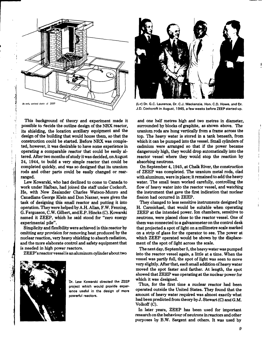



(L-r) Dr. G.C. Laurence, Dr. C.J. Mackenzie, Hon. C.D. Howe, and Dr. **J.D. Cockcroft in August, 1945, a few weeks before ZEEP started up.**

**This background of theory and experiment made it possible to decide the outline design of the NRX reactor, its shielding, the location auxiliary equipment and the design of the building that would house them, so that the construction could be started. Before NRX was completed, however, it was desirable to have some experience in operating a comparable reactor that could be easily altered. After two months of study it was decided, on August 24, 1944, to build a very simple reactor that could be completed quickly, and was so designed that its uranium rods and other parts could be easily changed or rearranged.**

**Lew Kowarski, who had declined to come to Canada to work under Halban, had joined the staff under Cockcoft. He, with New Zealander Charles Watson-Munro and Canadians George Klein and Don Nazzer, were given the task of designing this small reactor and putting it into operation. They were helped by A.H. Allan, F.W. Fenning, G. Fergusson, C.W. Gilbert, andE.P. Hincks (C). Kowarski named it ZEEP, which he said stood for "zero energy experimental pile".**

**Simplicity and flexibility were achieved in this reactor by omitting any provision for removing heat produced by the nuclear reaction, very heavy shielding to absorb radiation, and the more elaborate control and safety equipment that is needed in high power reactors.**

**ZEEP's reactor vessel is an aluminum cylinder about two**



**'Dr. Lew Kowarski directed the ZEEP project which would provide experience useful in the design of more powerful reactors.**

**and one half metres high and two metres in diameter, surrounded by blocks of graphite, as shown above. The uranium rods are hung vertically from a frame across the top. The heavy water is stored in a tank beneath, from which it can be pumped into the vessel. Small cylinders of cadmium were arranged so that if the power became dangerously high, they would drop automatically into the reactor vessel where they would stop the reaction by absorbing neutrons.**

**On September 4,1945, at Chalk River, the construction of ZEEP was completed. The uranium metal rods, clad with aluminum, were in place; it remained to add the heavy water. The small team worked carefully, controlling the flow of heavy water into the reactor vessel, and watching the instrument that gave the first indication that nuclear fission had occurred in ZEEP.**

**They changed to less sensitive instruments designed by H. Carmichael, that would be suitable when operating ZEEP at the intended power. Ion chambers, sensitive to neutrons, were placed close to the reactor vessel. One of them was connected to a galvanometer on the control desk that projected a spot of light on a millimetre scale marked on a strip of glass for the operator to see. The power at which ZEEP operated would be shown by the displacement of the spot of light across the scale.**

**The next day, September 5, the heavy water was pumped into the reactor vessel again, a little at a time. When the vessel was partly full, the spot of light was seen to move very slightly. After that, each small addition of heavy water moved the spot faster and farther. At length, the spot showed that ZEEP was operating at the nuclear power for which it was designed.**

**Thus, for the first time a nuclear reactor had been operated outside the United States. They found that the amount of heavy water required was almost exactly what had been predicted from theory by J. Stewart (C) and G.M. Volkoff (C).**

**In later years, ZEEP has been used for important research on the behaviour of neutrons in reactors and other purposes by B.W. Sargent and others. It was used by**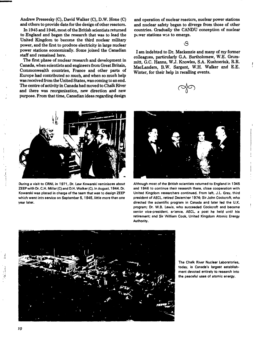Andrew Pressesky (C), David Walker (C), D.W. Hone (C) and others to provide data for the design of other reactors.

In 1945 and 1946, most of the British scientists returned to England and began the research that was to lead the United Kingdom to become the third nuclear military power, and the first to produce electricity in large nuclear power stations economically. Some joined the Canadian staff and remained here.

The first phase of nuclear research and development in Canada, when scientists and engineers from Great Britain, Commonwealth countries, France and other parts of Europe had contributed so much, and when so much help was received from the United States, was coming to an end. The centre of activity in Canada had moved to Chalk River and there was reorganization, new direction and new purpose. From that time, Canadian ideas regarding design

and operation of nuclear reactors, nuclear power stations and nuclear safety began to diverge from those of other countries. Gradually the CANDU conception of nuclear puwer stations was to emerge.

**6**

I am indebted to Dr. Mackenzie and many of my former colleagues, particularly G.A. Bartholomew, W.E. Grummitt, G.C. Hanna, W.J. Knowles, S.A. Kushneriuk, R.R. MacLanders, B.W. Sargent, W.H. Walker and E.E. Winter, for their help in recalling events.





**During a visit to CRNL in 1971, Dr. Lew Kowarski reminisces about Although most of the British scientists returned to England in 1345 ZEEP with Dr. C.H. Millar (C) and D.H. Walker (C). In August, 1944, Dr. Kowarski was placed in charge of the team that was to design ZEEP which went into service on September 5,1945, little more than one year later.**



**and 1946 to continue their research there, close cooperation with United Kingdom researchers continued. From left, J.L. Gray, third president of AECL, retired December 1974; Sir John Cockcroft, who directed the scientific program in Canada and later led the U.K. program; Dr. W.B. Lewis, who succeeded Cockcroft and became senior vice-president, srience, AECL, a post he held until his retirement; and Sir William Cook, United Kingdom Atomic Energy Authority.**



**The Chalk River Nuclear Laboratories, today, is Canada's largest establishment devoted entirely to research into the peaceful uses of atomic energy.**

्।<br>व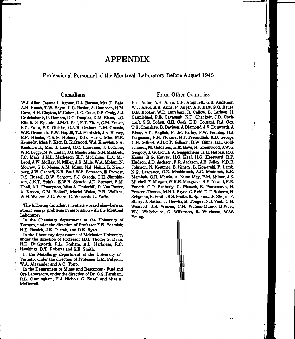## **APPENDIX**

## Professional Personnel of the Montreal Laboratory Before August 1945

## Canadians

**W.J. Allan, Jeanne L. Agnew, C.A. Barnes, Mrs. D. Bate, A.H. Booth, T.W. Boyer, G.C. Butler, A. Cambron, H.M. Cave, H.H. Clayton, M.Cohen, L.G. Cook, D.S. Craig, A.J. Cruickshank, P. Demers, D.C. Douglas, D.M. Eisen, L.G. Elliott, S. Epstein, J.M.G. Fell, F.T. Fitch, CM. Fraser, S.C. Fultz, P.E. Gishler, G.A.R. Graham, L.M. Grassie, W.E. Grummitt, E.W. Guptill, T.J. Hardwick, J.A. Harvey, E.P. Hincks, C.R.G. Holmes, D.G. Hurst, Miss M.E. Kennedy, Miss P. Kerr, D. Kirkwood, W.J. Knowles, S.A. Kushneriuk, Mrs. J. Laird, G.C. Laurence, J. LeCaine, W.R. Legge, M.W. Lister, J.G. Machutchin, S.N. Maldrett, J.C. Mark, J.H.L. Matheson, K.J. McCallum, L.A. Mc-Leod, J.W. McKay, N. Miller, J.R. Mills, W.A. Mohun, N. Morrow, G.B. Moses, A.M. Munn, N.J. Neimi, L. Nirenberg, J.W. Ozeroff, E.B. Paul, W.S. Peterson, E. Prevost, D.S. Russell, B.W. Sargent, P.J. Sereda, C.H. Simpkinson, J.K.T. Spinks, E.W.R. Steacie, J.D. Stewart, B.M. Thall, A.L. Thompson, Miss A. Underhill, D. Van Patter, A. Vroom, G.M. Volkoff, Muriel Wales, P.R. Wallace, W.H. Walker, A.G. Ward, C. Westcott, L. Yaffe.**

**The following Canadian scientists worked elsewhere on atomic energy problems in association with the Montreal Laboratory.**

**In the Chemistry department at the University of Toronto, under the direction of Professor F.E. Beamish; H.E. Bewick, J.E. Currah, and D.E. Ryan.**

**In the Chemistry department of McMaster University, under the direction of Professor H.G. Thode; G. Dean, H.E. Duckworth, R.L. Graham, A.L. Harkness, R.C. Hawkings, D.T. Roberts and S.R. Smith.**

**In the Metallurgy department at the University of Toronto, under the direction of Professor L.M. Pidgeon; W.A. Alexander and A.C. Topp.**

**In the Department of Mines and Resources - Fuel and Ore Laboratory, under the direction of Dr. G.S. Farnham; R.L. Cunningham, H.J. Nichols, G. Ensell and Miss A. McDowell.**

k

## From Other Countries

**F.T. Adler, A.H. Alien, C.B. Amphlett, G.S. Anderson, W.J. Arrol, H.S. Arms, P. Auger, A.F. Barr, S.G. Bauer, D.B. Booker, W.E. Burcham, R. Callow, B. Carlson, H. Carmichael, P.E. Cavanagh, K.E. Chackett, J.D. Cockcroft, S.G. Cohen, G.B. Cook, E.D. Courant, R.J. Cox, T.E. Cranshaw, B. Davison, J. Diamond, J.V. Dunworth, J. Elsey, A.C. English, F.J.M. Farley, F.W. Penning, G.J. Fergusson, B.H. Flowers, H.F. Freundlich, K.D. George, C.H. Gilbert, A.H.C.P. Gillison, D.W. Ginns, B.L. Goldschmidt, M. Goldstein, H.E. Gove, H. Greenwood, J.W.G. Gregory, J. Gueron, E.A. Guggenheim, H.H. Halban, R.G. Hanna, B.G. Harvey, H.G. Heal, H.G. Hereward, R.P. Hudson, J.D. Jackson, F.R. Jackson, J.B. Jelley, K.D.B. Johnson, N. Kemmer, B. Kinsey, L. Kowarski, P. Lamb, N.Q. Lawrence, C.E. Mackintosh, A.G. Maddock, R.E. Marshak, G.R. Martin, A. Nunn May, P.M. Milner, J.S. Mitchell, F. Morgan, W.K.R. Musgrave, R.E. Newell, H.R. Paneth, CO. Peabody, G. Placzek, B. Pontecorvo, H. Preston-Thomas, M.H.L. Pryce, C. Reid, D.T. Roberts, H. Seligman, K. Smith, B.S. Smith, R. Spence, J.F. Steljes, F. Sterry, J. Sutton, J. Thewlis, H. Tongue, N.J. Veall, CH. Westcott, J.B. Warren, C.N. Watson-Munro, D.West, W.J. Whitehouse, G. Wilkinson, R. Wilkinson, W.W. Young.**

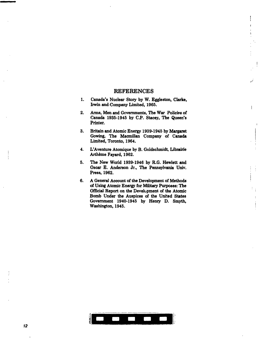#### REFERENCES

- **1. Canada's Nuclear Story by W. Eggleston, Clarke, Irwin and Company Limited, 1965.**
- **2. Arms, Men and Governments, The War Policies of Canada 1935-1945 by C.P. Stacey, The Queen's Printer.**
- **3. Britain and Atomic Energy 1939-1945 by Margaret Gowing, The Macmillan Company of Canada Limited, Toronto, 1964.**
- **4. L'Aventure Atomique by B. Goldschmidt, Librairie Aitheme Fayard, 1962.**
- **5. The New World 1939-1946 by R.G. Hewlett and Oscar E. Anderson Jr., The Pennsylvania Univ. Press, 1962.**
- **6. A General Account of the Development of Methods of Using Atomic Energy for Military Purposes: The Official Report on the Development of the Atomic Bomb Under the Auspices of the United States Government 1940-1945 by Henry D. Smyth, Washington, 1945.**